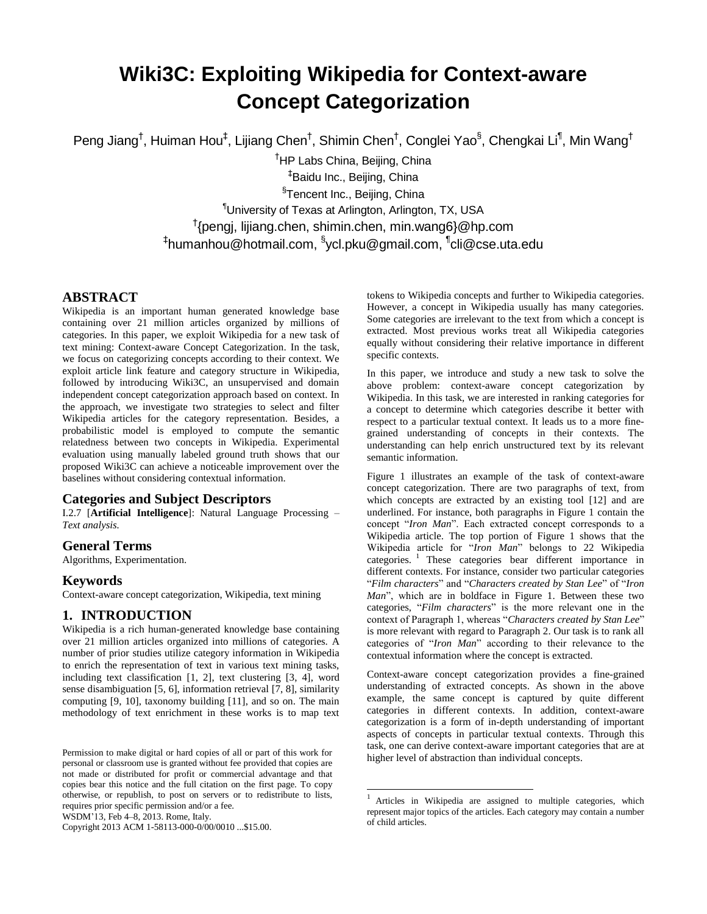# **Wiki3C: Exploiting Wikipedia for Context-aware Concept Categorization**

Peng Jiang<sup>†</sup>, Huiman Hou<sup>‡</sup>, Lijiang Chen<sup>†</sup>, Shimin Chen<sup>†</sup>, Conglei Yao<sup>§</sup>, Chengkai Li<sup>¶</sup>, Min Wang<sup>†</sup>

<sup>†</sup>HP Labs China, Beijing, China ‡ Baidu Inc., Beijing, China <sup>§</sup>Tencent Inc., Beijing, China ¶University of Texas at Arlington, Arlington, TX, USA † {pengj, lijiang.chen, shimin.chen, min.wang6}@hp.com <sup>‡</sup>humanhou@hotmail.com, <sup>§</sup>ycl.pku@gmail.com, <sup>¶</sup>cli@cse.uta.edu

 $\overline{a}$ 

# **ABSTRACT**

Wikipedia is an important human generated knowledge base containing over 21 million articles organized by millions of categories. In this paper, we exploit Wikipedia for a new task of text mining: Context-aware Concept Categorization. In the task, we focus on categorizing concepts according to their context. We exploit article link feature and category structure in Wikipedia, followed by introducing Wiki3C, an unsupervised and domain independent concept categorization approach based on context. In the approach, we investigate two strategies to select and filter Wikipedia articles for the category representation. Besides, a probabilistic model is employed to compute the semantic relatedness between two concepts in Wikipedia. Experimental evaluation using manually labeled ground truth shows that our proposed Wiki3C can achieve a noticeable improvement over the baselines without considering contextual information.

# **Categories and Subject Descriptors**

I.2.7 [**Artificial Intelligence**]: Natural Language Processing *– Text analysis.*

# **General Terms**

Algorithms, Experimentation.

# **Keywords**

Context-aware concept categorization, Wikipedia, text mining

# **1. INTRODUCTION**

Wikipedia is a rich human-generated knowledge base containing over 21 million articles organized into millions of categories. A number of prior studies utilize category information in Wikipedia to enrich the representation of text in various text mining tasks, including text classification [\[1,](#page-7-0) [2\]](#page-7-1), text clustering [\[3,](#page-7-2) [4\]](#page-7-3), word sense disambiguation [\[5,](#page-7-4) [6\]](#page-7-5), information retrieval [\[7,](#page-8-0) [8\]](#page-8-1), similarity computing [\[9,](#page-8-2) [10\]](#page-8-3), taxonomy building [\[11\]](#page-8-4), and so on. The main methodology of text enrichment in these works is to map text

Copyright 2013 ACM 1-58113-000-0/00/0010 ...\$15.00.

tokens to Wikipedia concepts and further to Wikipedia categories. However, a concept in Wikipedia usually has many categories. Some categories are irrelevant to the text from which a concept is extracted. Most previous works treat all Wikipedia categories equally without considering their relative importance in different specific contexts.

In this paper, we introduce and study a new task to solve the above problem: context-aware concept categorization by Wikipedia. In this task, we are interested in ranking categories for a concept to determine which categories describe it better with respect to a particular textual context. It leads us to a more finegrained understanding of concepts in their contexts. The understanding can help enrich unstructured text by its relevant semantic information.

Figure 1 illustrates an example of the task of context-aware concept categorization. There are two paragraphs of text, from which concepts are extracted by an existing tool [\[12\]](#page-8-5) and are underlined. For instance, both paragraphs in Figure 1 contain the concept "*Iron Man*". Each extracted concept corresponds to a Wikipedia article. The top portion of Figure 1 shows that the Wikipedia article for "*Iron Man*" belongs to 22 Wikipedia categories. <sup>1</sup> These categories bear different importance in different contexts. For instance, consider two particular categories "*Film characters*" and "*Characters created by Stan Lee*" of "*Iron Man*", which are in boldface in Figure 1. Between these two categories, "*Film characters*" is the more relevant one in the context of Paragraph 1, whereas "*Characters created by Stan Lee*" is more relevant with regard to Paragraph 2. Our task is to rank all categories of "*Iron Man*" according to their relevance to the contextual information where the concept is extracted.

Context-aware concept categorization provides a fine-grained understanding of extracted concepts. As shown in the above example, the same concept is captured by quite different categories in different contexts. In addition, context-aware categorization is a form of in-depth understanding of important aspects of concepts in particular textual contexts. Through this task, one can derive context-aware important categories that are at higher level of abstraction than individual concepts.

Permission to make digital or hard copies of all or part of this work for personal or classroom use is granted without fee provided that copies are not made or distributed for profit or commercial advantage and that copies bear this notice and the full citation on the first page. To copy otherwise, or republish, to post on servers or to redistribute to lists, requires prior specific permission and/or a fee.

WSDM'13, Feb 4–8, 2013. Rome, Italy.

<sup>1</sup> Articles in Wikipedia are assigned to multiple categories, which represent major topics of the articles. Each category may contain a number of child articles.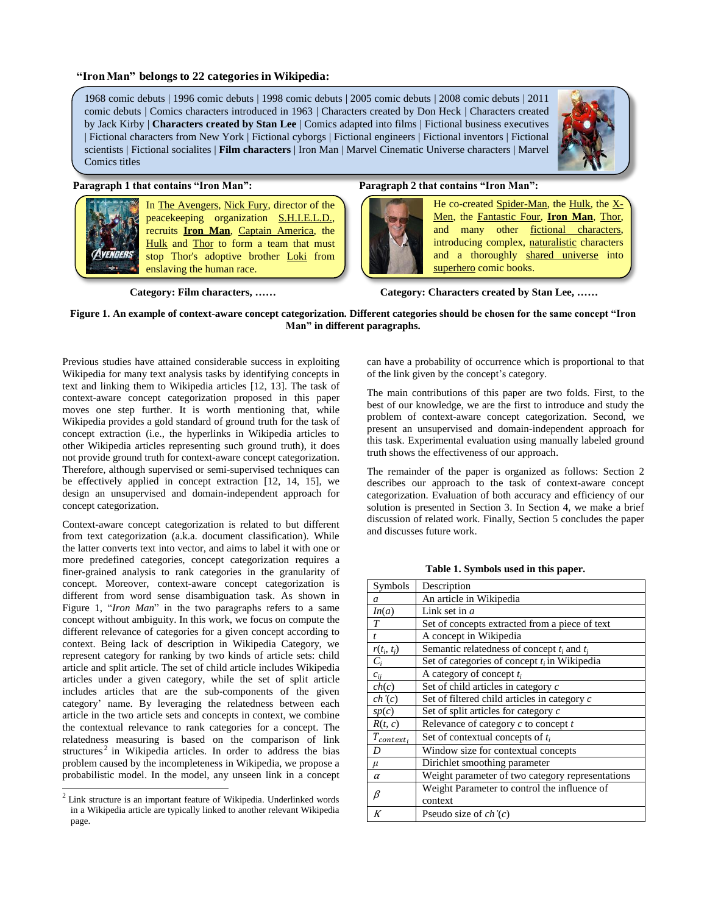#### **"Iron Man" belongs to 22 categories in Wikipedia:**

1968 comic debuts | 1996 comic debuts | 1998 comic debuts | 2005 comic debuts | 2008 comic debuts | 2011 comic debuts | Comics characters introduced in 1963 | Characters created by Don Heck | Characters created by Jack Kirby | **Characters created by Stan Lee** | Comics adapted into films | Fictional business executives | Fictional characters from New York | Fictional cyborgs | Fictional engineers | Fictional inventors | Fictional scientists | Fictional socialites | **Film characters** | Iron Man | Marvel Cinematic Universe characters | Marvel Comics titles



In The Avengers, Nick Fury, director of the peacekeeping organization S.H.I.E.L.D., recruits **Iron Man**, Captain America, the Hulk and Thor to form a team that must stop Thor's adoptive brother Loki from enslaving the human race.

### **Paragraph 1 that contains "Iron Man": Paragraph 2 that contains "Iron Man":**



He co-created Spider-Man, the Hulk, the X-Men, the Fantastic Four, **Iron Man**, Thor, and many other fictional characters, introducing complex, naturalistic characters and a thoroughly shared universe into superhero comic books.

**Category: Film characters, …… Category: Characters created by Stan Lee, ……**

#### **Figure 1. An example of context-aware concept categorization. Different categories should be chosen for the same concept "Iron Man" in different paragraphs.**

Previous studies have attained considerable success in exploiting Wikipedia for many text analysis tasks by identifying concepts in text and linking them to Wikipedia articles [\[12,](#page-8-5) [13\]](#page-8-6). The task of context-aware concept categorization proposed in this paper moves one step further. It is worth mentioning that, while Wikipedia provides a gold standard of ground truth for the task of concept extraction (i.e., the hyperlinks in Wikipedia articles to other Wikipedia articles representing such ground truth), it does not provide ground truth for context-aware concept categorization. Therefore, although supervised or semi-supervised techniques can be effectively applied in concept extraction [\[12,](#page-8-5) [14,](#page-8-7) [15\]](#page-8-8), we design an unsupervised and domain-independent approach for concept categorization.

Context-aware concept categorization is related to but different from text categorization (a.k.a. document classification). While the latter converts text into vector, and aims to label it with one or more predefined categories, concept categorization requires a finer-grained analysis to rank categories in the granularity of concept. Moreover, context-aware concept categorization is different from word sense disambiguation task. As shown in Figure 1, "*Iron Man*" in the two paragraphs refers to a same concept without ambiguity. In this work, we focus on compute the different relevance of categories for a given concept according to context. Being lack of description in Wikipedia Category, we represent category for ranking by two kinds of article sets: child article and split article. The set of child article includes Wikipedia articles under a given category, while the set of split article includes articles that are the sub-components of the given category' name. By leveraging the relatedness between each article in the two article sets and concepts in context, we combine the contextual relevance to rank categories for a concept. The relatedness measuring is based on the comparison of link structures<sup>2</sup> in Wikipedia articles. In order to address the bias problem caused by the incompleteness in Wikipedia, we propose a probabilistic model. In the model, any unseen link in a concept

l

can have a probability of occurrence which is proportional to that of the link given by the concept's category.

The main contributions of this paper are two folds. First, to the best of our knowledge, we are the first to introduce and study the problem of context-aware concept categorization. Second, we present an unsupervised and domain-independent approach for this task. Experimental evaluation using manually labeled ground truth shows the effectiveness of our approach.

The remainder of the paper is organized as follows: Section 2 describes our approach to the task of context-aware concept categorization. Evaluation of both accuracy and efficiency of our solution is presented in Section 3. In Section 4, we make a brief discussion of related work. Finally, Section 5 concludes the paper and discusses future work.

| Symbols          | Description                                      |
|------------------|--------------------------------------------------|
| $\overline{a}$   | An article in Wikipedia                          |
| In(a)            | Link set in $a$                                  |
| T                | Set of concepts extracted from a piece of text   |
| $\boldsymbol{t}$ | A concept in Wikipedia                           |
| $r(t_i, t_j)$    | Semantic relatedness of concept $t_i$ and $t_i$  |
| $C_i$            | Set of categories of concept $t_i$ in Wikipedia  |
| $c_{ii}$         | A category of concept $t_i$                      |
| ch(c)            | Set of child articles in category c              |
| ch'(c)           | Set of filtered child articles in category c     |
| sp(c)            | Set of split articles for category c             |
| R(t, c)          | Relevance of category $c$ to concept $t$         |
| $T_{context_i}$  | Set of contextual concepts of $t_i$              |
| D                | Window size for contextual concepts              |
| $\mu$            | Dirichlet smoothing parameter                    |
| $\alpha$         | Weight parameter of two category representations |
|                  | Weight Parameter to control the influence of     |
| β                | context                                          |
| K                | Pseudo size of $ch'(c)$                          |

**Table 1. Symbols used in this paper.**

<sup>2</sup> Link structure is an important feature of Wikipedia. Underlinked words in a Wikipedia article are typically linked to another relevant Wikipedia page.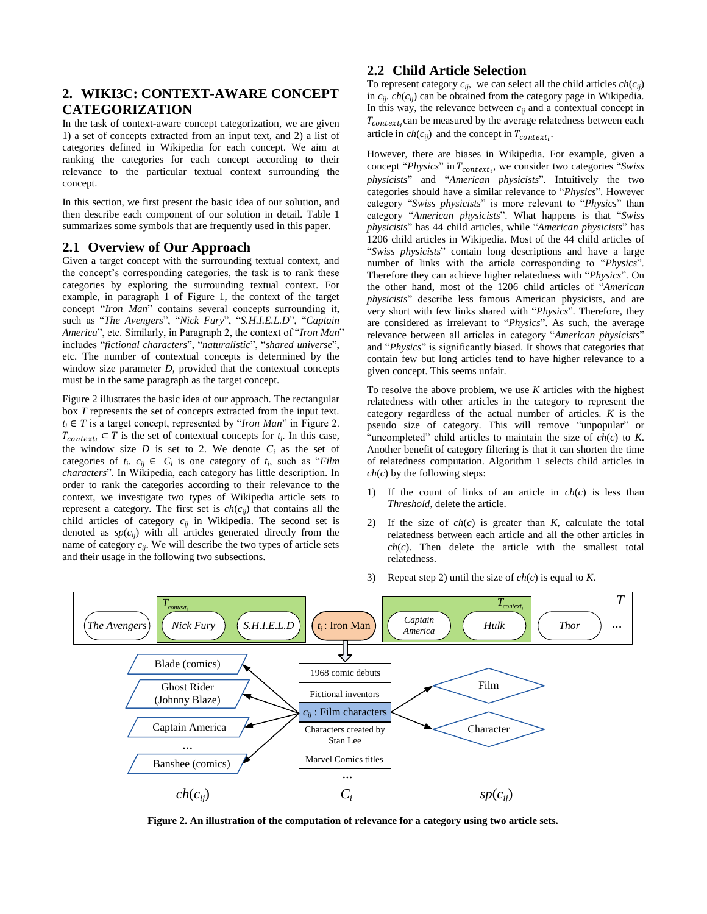# **2. WIKI3C: CONTEXT-AWARE CONCEPT CATEGORIZATION**

In the task of context-aware concept categorization, we are given 1) a set of concepts extracted from an input text, and 2) a list of categories defined in Wikipedia for each concept. We aim at ranking the categories for each concept according to their relevance to the particular textual context surrounding the concept.

In this section, we first present the basic idea of our solution, and then describe each component of our solution in detail. Table 1 summarizes some symbols that are frequently used in this paper.

# **2.1 Overview of Our Approach**

Given a target concept with the surrounding textual context, and the concept's corresponding categories, the task is to rank these categories by exploring the surrounding textual context. For example, in paragraph 1 of Figure 1, the context of the target concept "*Iron Man*" contains several concepts surrounding it, such as "*The Avengers*", "*Nick Fury*", "*S.H.I.E.L.D*", "*Captain America*", etc. Similarly, in Paragraph 2, the context of "*Iron Man*" includes "*fictional characters*", "*naturalistic*", "*shared universe*", etc. The number of contextual concepts is determined by the window size parameter *D*, provided that the contextual concepts must be in the same paragraph as the target concept.

Figure 2 illustrates the basic idea of our approach. The rectangular box *T* represents the set of concepts extracted from the input text.  $t_i \in T$  is a target concept, represented by "*Iron Man*" in Figure 2.  $T_{context_i} \subset T$  is the set of contextual concepts for  $t_i$ . In this case, the window size  $D$  is set to 2. We denote  $C_i$  as the set of categories of  $t_i$ ,  $c_{ij} \in C_i$  is one category of  $t_i$ , such as "*Film characters*". In Wikipedia, each category has little description. In order to rank the categories according to their relevance to the context, we investigate two types of Wikipedia article sets to represent a category. The first set is  $ch(c_{ij})$  that contains all the child articles of category  $c_{ij}$  in Wikipedia. The second set is denoted as  $sp(c_{ij})$  with all articles generated directly from the name of category  $c_{ii}$ . We will describe the two types of article sets and their usage in the following two subsections.

# **2.2 Child Article Selection**

To represent category  $c_{ii}$ , we can select all the child articles  $ch(c_{ii})$ in  $c_{ii}$ .  $ch(c_{ii})$  can be obtained from the category page in Wikipedia. In this way, the relevance between  $c_{ii}$  and a contextual concept in  $T_{context}$ , can be measured by the average relatedness between each article in  $ch(c_{ij})$  and the concept in  $T_{context_i}$ .

However, there are biases in Wikipedia. For example, given a concept "*Physics*" in  $T_{context}$ , we consider two categories "*Swiss physicists*" and "*American physicists*". Intuitively the two categories should have a similar relevance to "*Physics*". However category "*Swiss physicists*" is more relevant to "*Physics*" than category "*American physicists*". What happens is that "*Swiss physicists*" has 44 child articles, while "*American physicists*" has 1206 child articles in Wikipedia. Most of the 44 child articles of "*Swiss physicists*" contain long descriptions and have a large number of links with the article corresponding to "*Physics*". Therefore they can achieve higher relatedness with "*Physics*". On the other hand, most of the 1206 child articles of "*American physicists*" describe less famous American physicists, and are very short with few links shared with "*Physics*". Therefore, they are considered as irrelevant to "*Physics*". As such, the average relevance between all articles in category "*American physicists*" and "*Physics*" is significantly biased. It shows that categories that contain few but long articles tend to have higher relevance to a given concept. This seems unfair.

To resolve the above problem, we use *K* articles with the highest relatedness with other articles in the category to represent the category regardless of the actual number of articles. *K* is the pseudo size of category. This will remove "unpopular" or "uncompleted" child articles to maintain the size of *ch*(*c*) to *K*. Another benefit of category filtering is that it can shorten the time of relatedness computation. Algorithm 1 selects child articles in *ch*(*c*) by the following steps:

- 1) If the count of links of an article in *ch*(*c*) is less than *Threshold*, delete the article.
- 2) If the size of *ch*(*c*) is greater than *K*, calculate the total relatedness between each article and all the other articles in *ch*(*c*). Then delete the article with the smallest total relatedness.
- 3) Repeat step 2) until the size of *ch*(*c*) is equal to *K*.



**Figure 2. An illustration of the computation of relevance for a category using two article sets.**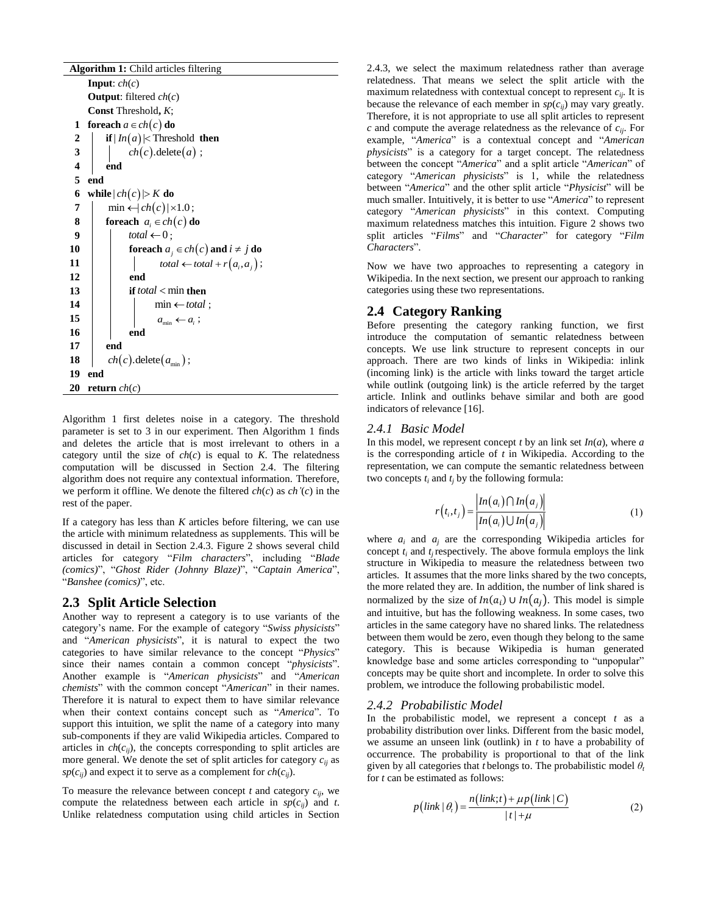| <b>Algorithm 1:</b> Child articles filtering |                                            |  |  |  |  |
|----------------------------------------------|--------------------------------------------|--|--|--|--|
|                                              | <b>Input</b> : $ch(c)$                     |  |  |  |  |
|                                              | <b>Output:</b> filtered $ch(c)$            |  |  |  |  |
|                                              | <b>Const</b> Threshold, K;                 |  |  |  |  |
| 1                                            | foreach $a \in ch(c)$ do                   |  |  |  |  |
| 2                                            | if $ ln(a) $ < Threshold then              |  |  |  |  |
| $\overline{\mathbf{3}}$                      | $ch(c)$ . delete $(a)$ ;                   |  |  |  |  |
| $\overline{\mathbf{4}}$                      | end                                        |  |  |  |  |
| 5                                            | end                                        |  |  |  |  |
| 6                                            | while $ ch(c) $ > K do                     |  |  |  |  |
| 7                                            | $\min \leftarrow  ch(c)  \times 1.0;$      |  |  |  |  |
| 8                                            | <b>foreach</b> $a_i \in ch(c)$ do          |  |  |  |  |
| 9                                            | total $\leftarrow 0$ ;                     |  |  |  |  |
| 10                                           | for each $a_i \in ch(c)$ and $i \neq j$ do |  |  |  |  |
| 11                                           | $total \leftarrow total + r(a_i, a_j);$    |  |  |  |  |
| 12                                           | end                                        |  |  |  |  |
| 13                                           | if <i>total</i> $<$ min then               |  |  |  |  |
| 14                                           | $\min \leftarrow total;$                   |  |  |  |  |
| 15                                           | $a_{\min} \leftarrow a_i$ ;                |  |  |  |  |
| 16                                           | end                                        |  |  |  |  |
| 17                                           | end                                        |  |  |  |  |
| 18                                           | $ch(c)$ . delete $(a_{\min})$ ;            |  |  |  |  |
| 19                                           | end                                        |  |  |  |  |
| 20                                           | return $ch(c)$                             |  |  |  |  |

Algorithm 1 first deletes noise in a category. The threshold parameter is set to 3 in our experiment. Then Algorithm 1 finds and deletes the article that is most irrelevant to others in a category until the size of  $ch(c)$  is equal to  $K$ . The relatedness computation will be discussed in Section 2.4. The filtering algorithm does not require any contextual information. Therefore, we perform it offline. We denote the filtered *ch*(*c*) as *ch'*(*c*) in the rest of the paper.

If a category has less than *K* articles before filtering, we can use the article with minimum relatedness as supplements. This will be discussed in detail in Section 2.4.3. Figure 2 shows several child articles for category "*Film characters*", including "*Blade (comics)*", "*Ghost Rider (Johnny Blaze)*", "*Captain America*", "*Banshee (comics)*", etc.

#### **2.3 Split Article Selection**

Another way to represent a category is to use variants of the category's name. For the example of category "*Swiss physicists*" and "*American physicists*", it is natural to expect the two categories to have similar relevance to the concept "*Physics*" since their names contain a common concept "*physicists*". Another example is "*American physicists*" and "*American chemists*" with the common concept "*American*" in their names. Therefore it is natural to expect them to have similar relevance when their context contains concept such as "*America*". To support this intuition, we split the name of a category into many sub-components if they are valid Wikipedia articles. Compared to articles in  $ch(c_{ii})$ , the concepts corresponding to split articles are more general. We denote the set of split articles for category  $c_{ij}$  as  $sp(c_{ij})$  and expect it to serve as a complement for  $ch(c_{ij})$ .

To measure the relevance between concept  $t$  and category  $c_{ii}$ , we compute the relatedness between each article in  $sp(c_{ij})$  and *t*. Unlike relatedness computation using child articles in Section 2.4.3, we select the maximum relatedness rather than average relatedness. That means we select the split article with the maximum relatedness with contextual concept to represent  $c_{ii}$ . It is because the relevance of each member in  $sp(c_{ij})$  may vary greatly. Therefore, it is not appropriate to use all split articles to represent *c* and compute the average relatedness as the relevance of *cij*. For example, "*America*" is a contextual concept and "*American physicists*" is a category for a target concept. The relatedness between the concept "*America*" and a split article "*American*" of category "*American physicists*" is 1, while the relatedness between "*America*" and the other split article "*Physicist*" will be much smaller. Intuitively, it is better to use "*America*" to represent category "*American physicists*" in this context. Computing maximum relatedness matches this intuition. Figure 2 shows two split articles "*Films*" and "*Character*" for category "*Film Characters*".

Now we have two approaches to representing a category in Wikipedia. In the next section, we present our approach to ranking categories using these two representations.

# **2.4 Category Ranking**

Before presenting the category ranking function, we first introduce the computation of semantic relatedness between concepts. We use link structure to represent concepts in our approach. There are two kinds of links in Wikipedia: inlink (incoming link) is the article with links toward the target article while outlink (outgoing link) is the article referred by the target article. Inlink and outlinks behave similar and both are good indicators of relevance [\[16\]](#page-8-9).

### *2.4.1 Basic Model*

In this model, we represent concept *t* by an link set *In*(*a*), where *a* is the corresponding article of *t* in Wikipedia. According to the representation, we can compute the semantic relatedness between two concepts *t<sup>i</sup>* and *t<sup>j</sup>* by the following formula:

$$
r(t_i, t_j) = \frac{\left| In(a_i) \cap In(a_j) \right|}{\left| In(a_i) \cup In(a_j) \right|} \tag{1}
$$

where  $a_i$  and  $a_j$  are the corresponding Wikipedia articles for concept  $t_i$  and  $t_i$  respectively. The above formula employs the link structure in Wikipedia to measure the relatedness between two articles. It assumes that the more links shared by the two concepts, the more related they are. In addition, the number of link shared is normalized by the size of  $In(a_i) \cup In(a_i)$ . This model is simple and intuitive, but has the following weakness. In some cases, two articles in the same category have no shared links. The relatedness between them would be zero, even though they belong to the same category. This is because Wikipedia is human generated knowledge base and some articles corresponding to "unpopular" concepts may be quite short and incomplete. In order to solve this problem, we introduce the following probabilistic model.

#### *2.4.2 Probabilistic Model*

In the probabilistic model, we represent a concept *t* as a probability distribution over links. Different from the basic model, we assume an unseen link (outlink) in *t* to have a probability of occurrence. The probability is proportional to that of the link given by all categories that *t* belongs to. The probabilistic model  $\theta_t$ for *t* can be estimated as follows:

$$
p\left(\text{link} \mid \theta_{t}\right) = \frac{n\left(\text{link}; t\right) + \mu p\left(\text{link} \mid C\right)}{|t| + \mu} \tag{2}
$$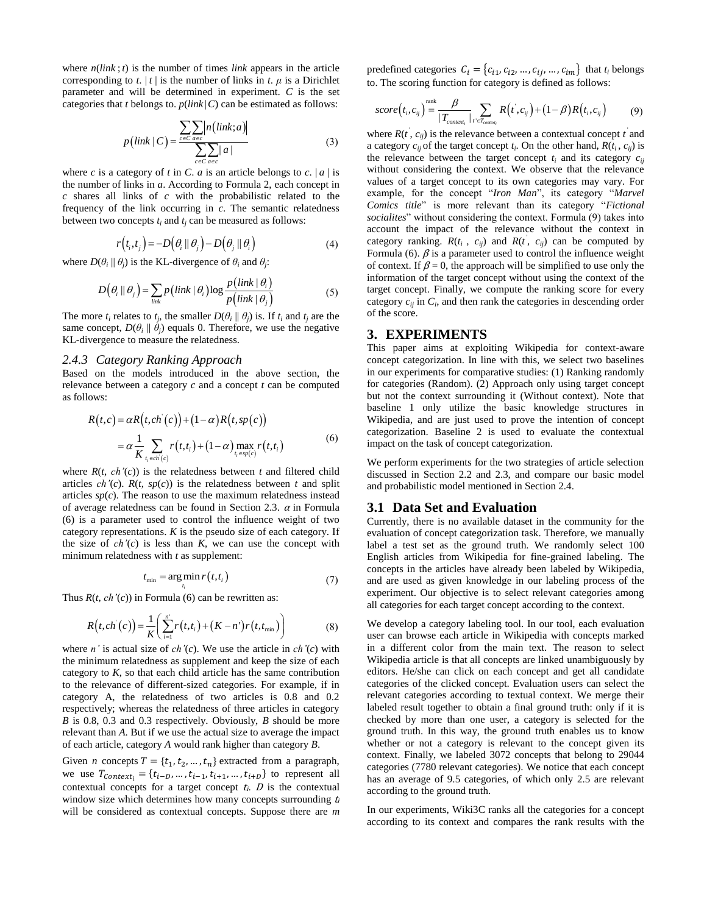where *n*(*link* ; *t*) is the number of times *link* appears in the article corresponding to *t*.  $|t|$  is the number of links in *t*.  $\mu$  is a Dirichlet parameter and will be determined in experiment. *C* is the set categories that *t* belongs to. *p*(*link* |*C*) can be estimated as follows:

$$
p\left(\text{link} \mid C\right) = \frac{\sum_{c \in C} \sum_{a \in c} |n\left(\text{link}; a\right)|}{\sum_{c \in C} \sum_{a \in c} |a|} \tag{3}
$$

where *c* is a category of *t* in *C*. *a* is an article belongs to *c*.  $|a|$  is the number of links in *a*. According to Formula 2, each concept in *c* shares all links of *c* with the probabilistic related to the frequency of the link occurring in *c*. The semantic relatedness between two concepts  $t_i$  and  $t_j$  can be measured as follows:

$$
r(t_i, t_j) = -D(\theta_i || \theta_j) - D(\theta_j || \theta_i)
$$
\n(4)

where  $D(\theta_i || \theta_j)$  is the KL-divergence of  $\theta_i$  and  $\theta_j$ :

$$
D(\theta_i || \theta_j) = \sum_{\text{link}} p(\text{link} | \theta_i) \log \frac{p(\text{link} | \theta_i)}{p(\text{link} | \theta_j)}
$$
(5)

The more  $t_i$  relates to  $t_j$ , the smaller  $D(\theta_i \parallel \theta_j)$  is. If  $t_i$  and  $t_j$  are the same concept,  $D(\theta_i \parallel \theta_j)$  equals 0. Therefore, we use the negative KL-divergence to measure the relatedness.

#### *2.4.3 Category Ranking Approach*

Based on the models introduced in the above section, the relevance between a category *c* and a concept *t* can be computed as follows:

$$
R(t,c) = \alpha R(t, ch'(c)) + (1-\alpha) R(t, sp(c))
$$
  
=  $\alpha \frac{1}{K} \sum_{t_i \in ch'(c)} r(t, t_i) + (1-\alpha) \max_{t_i \in sp(c)} r(t, t_i)$  (6)

where  $R(t, ch'(c))$  is the relatedness between  $t$  and filtered child articles  $ch'(c)$ .  $R(t, sp(c))$  is the relatedness between *t* and split articles  $sp(c)$ . The reason to use the maximum relatedness instead of average relatedness can be found in Section 2.3.  $\alpha$  in Formula (6) is a parameter used to control the influence weight of two category representations. *K* is the pseudo size of each category. If the size of  $ch'(c)$  is less than  $K$ , we can use the concept with minimum relatedness with *t* as supplement:

$$
t_{\min} = \arg\min_{t_i} r(t, t_i)
$$
\n(7)

Thus  $R(t, ch'(c))$  in Formula (6) can be rewritten as:

*i*

$$
R(t, ch^{2}(c)) = \frac{1}{K} \left( \sum_{i=1}^{n} r(t, t_{i}) + (K - n^{2}) r(t, t_{\min}) \right)
$$
(8)

where *n'* is actual size of *ch'*(*c*). We use the article in *ch'*(*c*) with the minimum relatedness as supplement and keep the size of each category to *K*, so that each child article has the same contribution to the relevance of different-sized categories. For example, if in category A, the relatedness of two articles is 0.8 and 0.2 respectively; whereas the relatedness of three articles in category *B* is 0.8, 0.3 and 0.3 respectively. Obviously, *B* should be more relevant than *A*. But if we use the actual size to average the impact of each article, category *A* would rank higher than category *B*.

Given *n* concepts  $T = \{t_1, t_2, ..., t_n\}$  extracted from a paragraph, we use  $T_{Context_i} = \{t_{i-D}, ..., t_{i-1}, t_{i+1}, ..., t_{i+D}\}$  to represent all contextual concepts for a target concept  $t_i$ .  $D$  is the contextual window size which determines how many concepts surrounding  $t_i$ will be considered as contextual concepts. Suppose there are *m*

predefined categories  $C_i = \{c_{i1}, c_{i2}, ..., c_{ij}, ..., c_{im}\}\)$  that  $t_i$  belongs to. The scoring function for category is defined as follows:

$$
score(t_i, c_{ij}) = \frac{\beta}{|T_{context_i}|} \sum_{t' \in T_{context_i}} R(t', c_{ij}) + (1 - \beta)R(t_i, c_{ij})
$$
(9)

where  $R(t, c_{ij})$  is the relevance between a contextual concept  $t^{i}$  and a category  $c_{ij}$  of the target concept  $t_i$ . On the other hand,  $R(t_i, c_{ij})$  is the relevance between the target concept  $t_i$  and its category  $c_{ii}$ without considering the context. We observe that the relevance values of a target concept to its own categories may vary. For example, for the concept "*Iron Man*", its category "*Marvel Comics title*" is more relevant than its category "*Fictional socialites*" without considering the context. Formula (9) takes into account the impact of the relevance without the context in category ranking.  $R(t_i, c_{ij})$  and  $R(t', c_{ij})$  can be computed by Formula (6).  $\beta$  is a parameter used to control the influence weight of context. If  $\beta = 0$ , the approach will be simplified to use only the information of the target concept without using the context of the target concept. Finally, we compute the ranking score for every category  $c_{ij}$  in  $C_i$ , and then rank the categories in descending order of the score.

#### **3. EXPERIMENTS**

This paper aims at exploiting Wikipedia for context-aware concept categorization. In line with this, we select two baselines in our experiments for comparative studies: (1) Ranking randomly for categories (Random). (2) Approach only using target concept but not the context surrounding it (Without context). Note that baseline 1 only utilize the basic knowledge structures in Wikipedia, and are just used to prove the intention of concept categorization. Baseline 2 is used to evaluate the contextual impact on the task of concept categorization.

We perform experiments for the two strategies of article selection discussed in Section 2.2 and 2.3, and compare our basic model and probabilistic model mentioned in Section 2.4.

#### **3.1 Data Set and Evaluation**

Currently, there is no available dataset in the community for the evaluation of concept categorization task. Therefore, we manually label a test set as the ground truth. We randomly select 100 English articles from Wikipedia for fine-grained labeling. The concepts in the articles have already been labeled by Wikipedia, and are used as given knowledge in our labeling process of the experiment. Our objective is to select relevant categories among all categories for each target concept according to the context.

We develop a category labeling tool. In our tool, each evaluation user can browse each article in Wikipedia with concepts marked in a different color from the main text. The reason to select Wikipedia article is that all concepts are linked unambiguously by editors. He/she can click on each concept and get all candidate categories of the clicked concept. Evaluation users can select the relevant categories according to textual context. We merge their labeled result together to obtain a final ground truth: only if it is checked by more than one user, a category is selected for the ground truth. In this way, the ground truth enables us to know whether or not a category is relevant to the concept given its context. Finally, we labeled 3072 concepts that belong to 29044 categories (7780 relevant categories). We notice that each concept has an average of 9.5 categories, of which only 2.5 are relevant according to the ground truth.

In our experiments, Wiki3C ranks all the categories for a concept according to its context and compares the rank results with the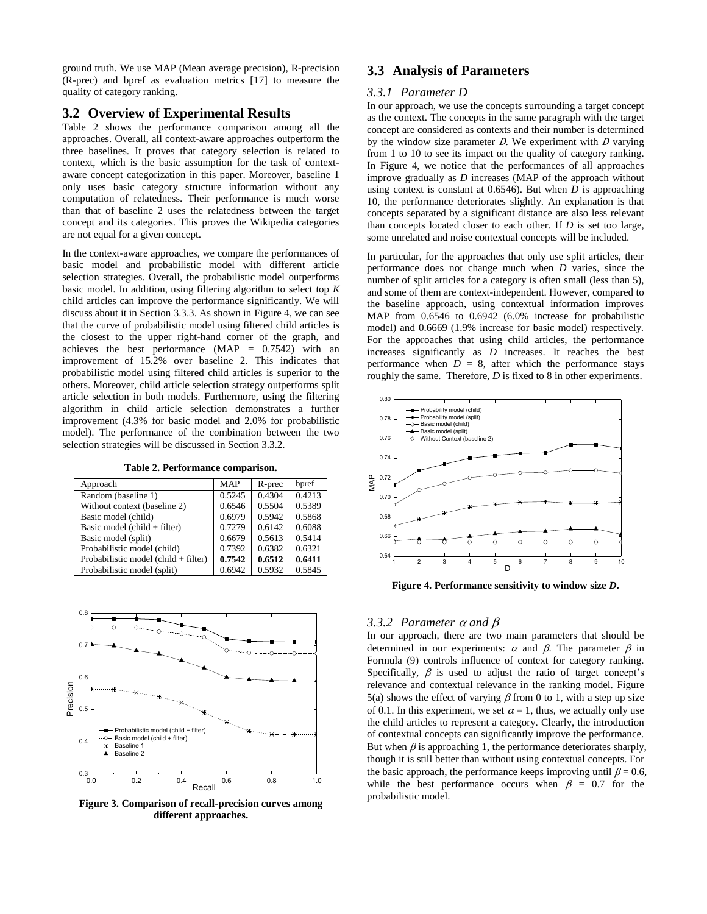ground truth. We use MAP (Mean average precision), R-precision (R-prec) and bpref as evaluation metrics [\[17\]](#page-8-10) to measure the quality of category ranking.

#### **3.2 Overview of Experimental Results**

Table 2 shows the performance comparison among all the approaches. Overall, all context-aware approaches outperform the three baselines. It proves that category selection is related to context, which is the basic assumption for the task of contextaware concept categorization in this paper. Moreover, baseline 1 only uses basic category structure information without any computation of relatedness. Their performance is much worse than that of baseline 2 uses the relatedness between the target concept and its categories. This proves the Wikipedia categories are not equal for a given concept.

In the context-aware approaches, we compare the performances of basic model and probabilistic model with different article selection strategies. Overall, the probabilistic model outperforms basic model. In addition, using filtering algorithm to select top *K* child articles can improve the performance significantly. We will discuss about it in Section 3.3.3. As shown in Figure 4, we can see that the curve of probabilistic model using filtered child articles is the closest to the upper right-hand corner of the graph, and achieves the best performance (MAP = 0.7542) with an improvement of 15.2% over baseline 2. This indicates that probabilistic model using filtered child articles is superior to the others. Moreover, child article selection strategy outperforms split article selection in both models. Furthermore, using the filtering algorithm in child article selection demonstrates a further improvement (4.3% for basic model and 2.0% for probabilistic model). The performance of the combination between the two selection strategies will be discussed in Section 3.3.2.

**Table 2. Performance comparison.**

| Approach                                              | <b>MAP</b> | R-prec | bpref  |
|-------------------------------------------------------|------------|--------|--------|
| Random (baseline 1)                                   | 0.5245     | 0.4304 | 0.4213 |
| Without context (baseline 2)                          | 0.6546     | 0.5504 | 0.5389 |
| Basic model (child)                                   | 0.6979     | 0.5942 | 0.5868 |
| Basic model (child $+$ filter)                        | 0.7279     | 0.6142 | 0.6088 |
| Basic model (split)                                   | 0.6679     | 0.5613 | 0.5414 |
| Probabilistic model (child)                           | 0.7392     | 0.6382 | 0.6321 |
| Probabilistic model $\left($ child + filter $\right)$ | 0.7542     | 0.6512 | 0.6411 |
| Probabilistic model (split)                           | 0.6942     | 0.5932 | 0.5845 |



**Figure 3. Comparison of recall-precision curves among different approaches.**

# **3.3 Analysis of Parameters**

#### *3.3.1 Parameter D*

In our approach, we use the concepts surrounding a target concept as the context. The concepts in the same paragraph with the target concept are considered as contexts and their number is determined by the window size parameter  $D$ . We experiment with  $D$  varying from 1 to 10 to see its impact on the quality of category ranking. In Figure 4, we notice that the performances of all approaches improve gradually as *D* increases (MAP of the approach without using context is constant at 0.6546). But when *D* is approaching 10, the performance deteriorates slightly. An explanation is that concepts separated by a significant distance are also less relevant than concepts located closer to each other. If *D* is set too large, some unrelated and noise contextual concepts will be included.

In particular, for the approaches that only use split articles, their performance does not change much when *D* varies, since the number of split articles for a category is often small (less than 5), and some of them are context-independent. However, compared to the baseline approach, using contextual information improves MAP from 0.6546 to 0.6942 (6.0% increase for probabilistic model) and 0.6669 (1.9% increase for basic model) respectively. For the approaches that using child articles, the performance increases significantly as *D* increases. It reaches the best performance when  $D = 8$ , after which the performance stays roughly the same. Therefore, *D* is fixed to 8 in other experiments.



**Figure 4. Performance sensitivity to window size** *D***.**

#### 3.3.2 *Parameter*  $\alpha$  *and*  $\beta$

In our approach, there are two main parameters that should be determined in our experiments:  $\alpha$  and  $\beta$ . The parameter  $\beta$  in Formula (9) controls influence of context for category ranking. Specifically,  $\beta$  is used to adjust the ratio of target concept's relevance and contextual relevance in the ranking model. Figure 5(a) shows the effect of varying  $\beta$  from 0 to 1, with a step up size of 0.1. In this experiment, we set  $\alpha = 1$ , thus, we actually only use the child articles to represent a category. Clearly, the introduction of contextual concepts can significantly improve the performance. But when  $\beta$  is approaching 1, the performance deteriorates sharply, though it is still better than without using contextual concepts. For the basic approach, the performance keeps improving until  $\beta = 0.6$ , while the best performance occurs when  $\beta = 0.7$  for the probabilistic model.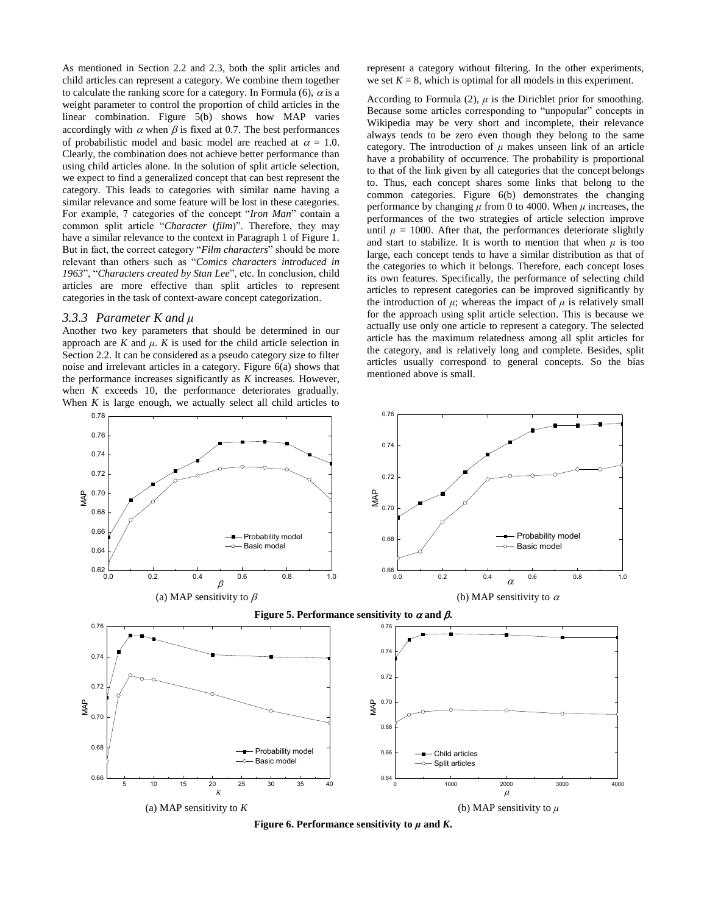As mentioned in Section 2.2 and 2.3, both the split articles and child articles can represent a category. We combine them together to calculate the ranking score for a category. In Formula (6),  $\alpha$  is a weight parameter to control the proportion of child articles in the linear combination. Figure 5(b) shows how MAP varies accordingly with  $\alpha$  when  $\beta$  is fixed at 0.7. The best performances of probabilistic model and basic model are reached at  $\alpha = 1.0$ . Clearly, the combination does not achieve better performance than using child articles alone. In the solution of split article selection, we expect to find a generalized concept that can best represent the category. This leads to categories with similar name having a similar relevance and some feature will be lost in these categories. For example, 7 categories of the concept "*Iron Man*" contain a common split article "*Character* (*film*)". Therefore, they may have a similar relevance to the context in Paragraph 1 of Figure 1. But in fact, the correct category "*Film characters*" should be more relevant than others such as "*Comics characters introduced in 1963*", "*Characters created by Stan Lee*", etc. In conclusion, child articles are more effective than split articles to represent categories in the task of context-aware concept categorization.

#### *3.3.3 Parameter K and μ*

Another two key parameters that should be determined in our approach are  $K$  and  $\mu$ .  $K$  is used for the child article selection in Section 2.2. It can be considered as a pseudo category size to filter noise and irrelevant articles in a category. Figure 6(a) shows that the performance increases significantly as *K* increases. However, when *K* exceeds 10, the performance deteriorates gradually. When *K* is large enough, we actually select all child articles to

represent a category without filtering. In the other experiments, we set  $K = 8$ , which is optimal for all models in this experiment.

According to Formula  $(2)$ ,  $\mu$  is the Dirichlet prior for smoothing. Because some articles corresponding to "unpopular" concepts in Wikipedia may be very short and incomplete, their relevance always tends to be zero even though they belong to the same category. The introduction of  $\mu$  makes unseen link of an article have a probability of occurrence. The probability is proportional to that of the link given by all categories that the concept belongs to. Thus, each concept shares some links that belong to the common categories. Figure 6(b) demonstrates the changing performance by changing *μ* from 0 to 4000. When *μ* increases, the performances of the two strategies of article selection improve until  $\mu = 1000$ . After that, the performances deteriorate slightly and start to stabilize. It is worth to mention that when  $\mu$  is too large, each concept tends to have a similar distribution as that of the categories to which it belongs. Therefore, each concept loses its own features. Specifically, the performance of selecting child articles to represent categories can be improved significantly by the introduction of  $\mu$ ; whereas the impact of  $\mu$  is relatively small for the approach using split article selection. This is because we actually use only one article to represent a category. The selected article has the maximum relatedness among all split articles for the category, and is relatively long and complete. Besides, split articles usually correspond to general concepts. So the bias mentioned above is small.



**Figure 6. Performance sensitivity to**  $\mu$  **and**  $K$ **.**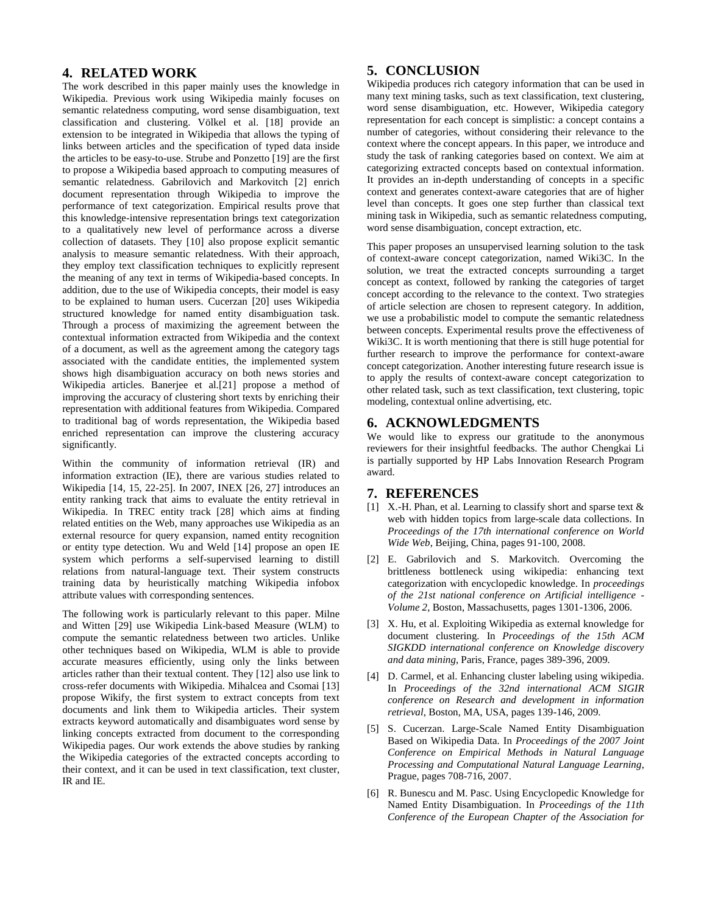# **4. RELATED WORK**

The work described in this paper mainly uses the knowledge in Wikipedia. Previous work using Wikipedia mainly focuses on semantic relatedness computing, word sense disambiguation, text classification and clustering. Völkel et al. [\[18\]](#page-8-11) provide an extension to be integrated in Wikipedia that allows the typing of links between articles and the specification of typed data inside the articles to be easy-to-use. Strube and Ponzetto [\[19\]](#page-8-12) are the first to propose a Wikipedia based approach to computing measures of semantic relatedness. Gabrilovich and Markovitch [\[2\]](#page-7-1) enrich document representation through Wikipedia to improve the performance of text categorization. Empirical results prove that this knowledge-intensive representation brings text categorization to a qualitatively new level of performance across a diverse collection of datasets. They [\[10\]](#page-8-3) also propose explicit semantic analysis to measure semantic relatedness. With their approach, they employ text classification techniques to explicitly represent the meaning of any text in terms of Wikipedia-based concepts. In addition, due to the use of Wikipedia concepts, their model is easy to be explained to human users. Cucerzan [\[20\]](#page-8-13) uses Wikipedia structured knowledge for named entity disambiguation task. Through a process of maximizing the agreement between the contextual information extracted from Wikipedia and the context of a document, as well as the agreement among the category tags associated with the candidate entities, the implemented system shows high disambiguation accuracy on both news stories and Wikipedia articles. Banerjee et al.[\[21\]](#page-8-14) propose a method of improving the accuracy of clustering short texts by enriching their representation with additional features from Wikipedia. Compared to traditional bag of words representation, the Wikipedia based enriched representation can improve the clustering accuracy significantly.

Within the community of information retrieval (IR) and information extraction (IE), there are various studies related to Wikipedia [\[14,](#page-8-7) [15,](#page-8-8) [22-25\]](#page-8-15). In 2007, INEX [\[26,](#page-8-16) [27\]](#page-8-17) introduces an entity ranking track that aims to evaluate the entity retrieval in Wikipedia. In TREC entity track [\[28\]](#page-8-18) which aims at finding related entities on the Web, many approaches use Wikipedia as an external resource for query expansion, named entity recognition or entity type detection. Wu and Weld [\[14\]](#page-8-7) propose an open IE system which performs a self-supervised learning to distill relations from natural-language text. Their system constructs training data by heuristically matching Wikipedia infobox attribute values with corresponding sentences.

The following work is particularly relevant to this paper. Milne and Witten [\[29\]](#page-8-19) use Wikipedia Link-based Measure (WLM) to compute the semantic relatedness between two articles. Unlike other techniques based on Wikipedia, WLM is able to provide accurate measures efficiently, using only the links between articles rather than their textual content. They [\[12\]](#page-8-5) also use link to cross-refer documents with Wikipedia. Mihalcea and Csomai [\[13\]](#page-8-6) propose Wikify, the first system to extract concepts from text documents and link them to Wikipedia articles. Their system extracts keyword automatically and disambiguates word sense by linking concepts extracted from document to the corresponding Wikipedia pages. Our work extends the above studies by ranking the Wikipedia categories of the extracted concepts according to their context, and it can be used in text classification, text cluster, IR and IE.

# **5. CONCLUSION**

Wikipedia produces rich category information that can be used in many text mining tasks, such as text classification, text clustering, word sense disambiguation, etc. However, Wikipedia category representation for each concept is simplistic: a concept contains a number of categories, without considering their relevance to the context where the concept appears. In this paper, we introduce and study the task of ranking categories based on context. We aim at categorizing extracted concepts based on contextual information. It provides an in-depth understanding of concepts in a specific context and generates context-aware categories that are of higher level than concepts. It goes one step further than classical text mining task in Wikipedia, such as semantic relatedness computing, word sense disambiguation, concept extraction, etc.

This paper proposes an unsupervised learning solution to the task of context-aware concept categorization, named Wiki3C. In the solution, we treat the extracted concepts surrounding a target concept as context, followed by ranking the categories of target concept according to the relevance to the context. Two strategies of article selection are chosen to represent category. In addition, we use a probabilistic model to compute the semantic relatedness between concepts. Experimental results prove the effectiveness of Wiki3C. It is worth mentioning that there is still huge potential for further research to improve the performance for context-aware concept categorization. Another interesting future research issue is to apply the results of context-aware concept categorization to other related task, such as text classification, text clustering, topic modeling, contextual online advertising, etc.

# **6. ACKNOWLEDGMENTS**

We would like to express our gratitude to the anonymous reviewers for their insightful feedbacks. The author Chengkai Li is partially supported by HP Labs Innovation Research Program award.

# **7. REFERENCES**

- <span id="page-7-0"></span>[1] X.-H. Phan, et al. Learning to classify short and sparse text & web with hidden topics from large-scale data collections. In *Proceedings of the 17th international conference on World Wide Web*, Beijing, China, pages 91-100, 2008.
- <span id="page-7-1"></span>[2] E. Gabrilovich and S. Markovitch. Overcoming the brittleness bottleneck using wikipedia: enhancing text categorization with encyclopedic knowledge. In *proceedings of the 21st national conference on Artificial intelligence - Volume 2*, Boston, Massachusetts, pages 1301-1306, 2006.
- <span id="page-7-2"></span>[3] X. Hu, et al. Exploiting Wikipedia as external knowledge for document clustering. In *Proceedings of the 15th ACM SIGKDD international conference on Knowledge discovery and data mining*, Paris, France, pages 389-396, 2009.
- <span id="page-7-3"></span>[4] D. Carmel, et al. Enhancing cluster labeling using wikipedia. In *Proceedings of the 32nd international ACM SIGIR conference on Research and development in information retrieval*, Boston, MA, USA, pages 139-146, 2009.
- <span id="page-7-4"></span>[5] S. Cucerzan. Large-Scale Named Entity Disambiguation Based on Wikipedia Data. In *Proceedings of the 2007 Joint Conference on Empirical Methods in Natural Language Processing and Computational Natural Language Learning*, Prague, pages 708-716, 2007.
- <span id="page-7-5"></span>[6] R. Bunescu and M. Pasc. Using Encyclopedic Knowledge for Named Entity Disambiguation. In *Proceedings of the 11th Conference of the European Chapter of the Association for*